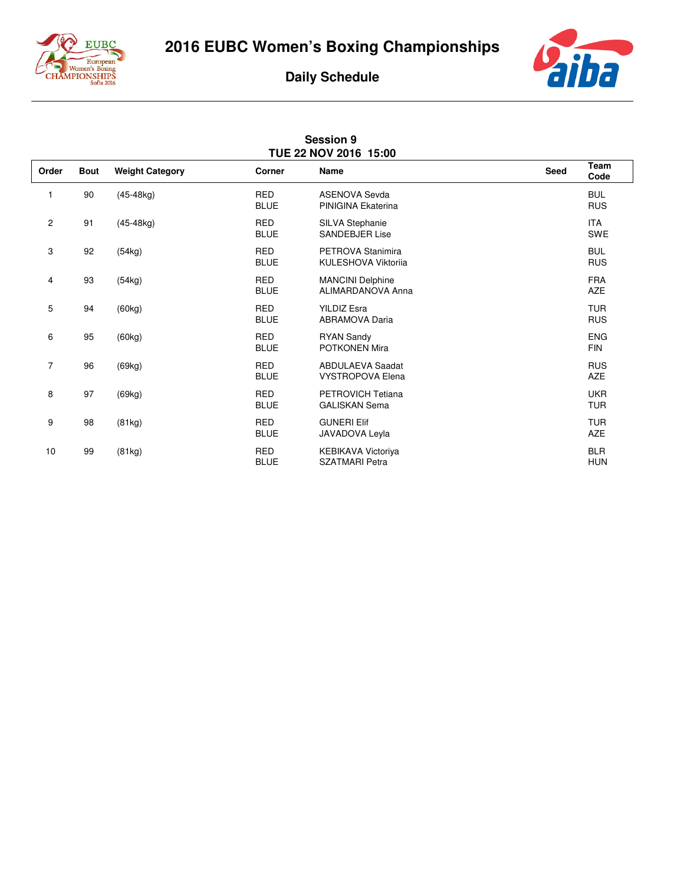

**2016 EUBC Women's Boxing Championships**

## aiba

## **Daily Schedule**

| <b>Session 9</b><br>TUE 22 NOV 2016 15:00 |             |                        |                           |                                                    |             |                          |  |  |  |  |
|-------------------------------------------|-------------|------------------------|---------------------------|----------------------------------------------------|-------------|--------------------------|--|--|--|--|
| Order                                     | <b>Bout</b> | <b>Weight Category</b> | Corner                    | <b>Name</b>                                        | <b>Seed</b> | Team<br>Code             |  |  |  |  |
| 1                                         | 90          | $(45-48kg)$            | <b>RED</b><br><b>BLUE</b> | <b>ASENOVA Sevda</b><br>PINIGINA Ekaterina         |             | <b>BUL</b><br><b>RUS</b> |  |  |  |  |
| $\overline{c}$                            | 91          | $(45-48kg)$            | <b>RED</b><br><b>BLUE</b> | SILVA Stephanie<br><b>SANDEBJER Lise</b>           |             | <b>ITA</b><br><b>SWE</b> |  |  |  |  |
| 3                                         | 92          | (54kg)                 | <b>RED</b><br><b>BLUE</b> | PETROVA Stanimira<br><b>KULESHOVA Viktorija</b>    |             | <b>BUL</b><br><b>RUS</b> |  |  |  |  |
| 4                                         | 93          | (54kg)                 | <b>RED</b><br><b>BLUE</b> | <b>MANCINI Delphine</b><br>ALIMARDANOVA Anna       |             | <b>FRA</b><br><b>AZE</b> |  |  |  |  |
| 5                                         | 94          | (60kg)                 | <b>RED</b><br><b>BLUE</b> | <b>YILDIZ Esra</b><br><b>ABRAMOVA Daria</b>        |             | <b>TUR</b><br><b>RUS</b> |  |  |  |  |
| 6                                         | 95          | (60kg)                 | <b>RED</b><br><b>BLUE</b> | <b>RYAN Sandy</b><br><b>POTKONEN Mira</b>          |             | <b>ENG</b><br><b>FIN</b> |  |  |  |  |
| $\overline{7}$                            | 96          | (69kg)                 | <b>RED</b><br><b>BLUE</b> | <b>ABDULAEVA Saadat</b><br><b>VYSTROPOVA Elena</b> |             | <b>RUS</b><br><b>AZE</b> |  |  |  |  |
| 8                                         | 97          | (69kg)                 | <b>RED</b><br><b>BLUE</b> | PETROVICH Tetiana<br><b>GALISKAN Sema</b>          |             | <b>UKR</b><br><b>TUR</b> |  |  |  |  |
| 9                                         | 98          | (81kg)                 | <b>RED</b><br><b>BLUE</b> | <b>GUNERI Elif</b><br>JAVADOVA Leyla               |             | <b>TUR</b><br><b>AZE</b> |  |  |  |  |
| 10                                        | 99          | (81kg)                 | <b>RED</b><br><b>BLUE</b> | <b>KEBIKAVA Victoriya</b><br><b>SZATMARI Petra</b> |             | <b>BLR</b><br><b>HUN</b> |  |  |  |  |